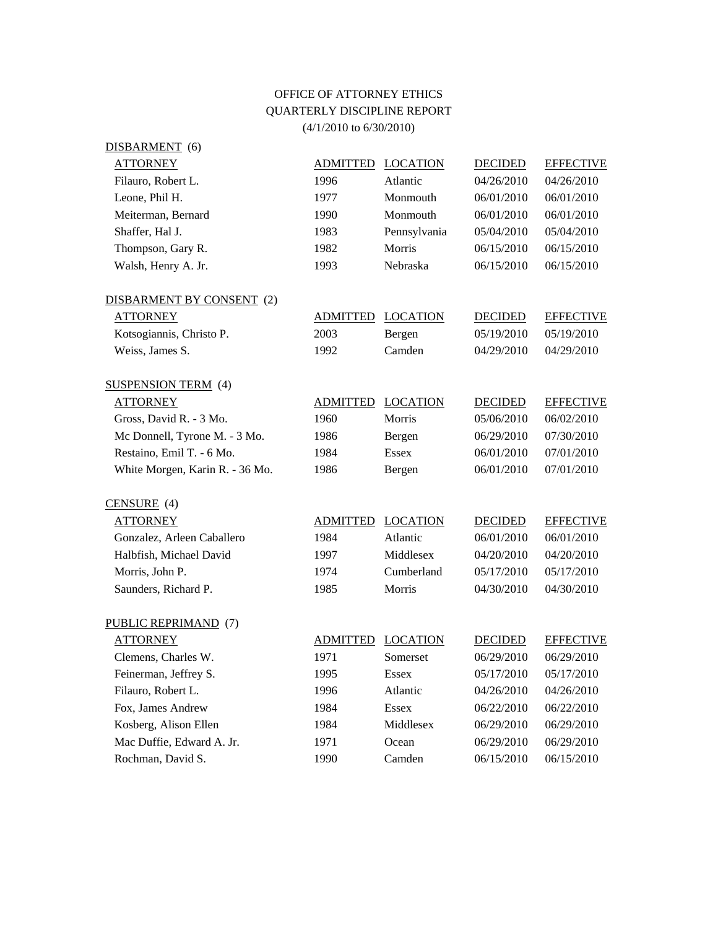## OFFICE OF ATTORNEY ETHICS QUARTERLY DISCIPLINE REPORT (4/1/2010 to 6/30/2010)

| DISBARMENT (6)                  |                 |                 |                |                  |
|---------------------------------|-----------------|-----------------|----------------|------------------|
| <b>ATTORNEY</b>                 | ADMITTED        | <b>LOCATION</b> | <b>DECIDED</b> | <b>EFFECTIVE</b> |
| Filauro, Robert L.              | 1996            | Atlantic        | 04/26/2010     | 04/26/2010       |
| Leone, Phil H.                  | 1977            | Monmouth        | 06/01/2010     | 06/01/2010       |
| Meiterman, Bernard              | 1990            | Monmouth        | 06/01/2010     | 06/01/2010       |
| Shaffer, Hal J.                 | 1983            | Pennsylvania    | 05/04/2010     | 05/04/2010       |
| Thompson, Gary R.               | 1982            | Morris          | 06/15/2010     | 06/15/2010       |
| Walsh, Henry A. Jr.             | 1993            | Nebraska        | 06/15/2010     | 06/15/2010       |
| DISBARMENT BY CONSENT (2)       |                 |                 |                |                  |
| <b>ATTORNEY</b>                 | <b>ADMITTED</b> | <b>LOCATION</b> | <b>DECIDED</b> | <b>EFFECTIVE</b> |
| Kotsogiannis, Christo P.        | 2003            | Bergen          | 05/19/2010     | 05/19/2010       |
| Weiss, James S.                 | 1992            | Camden          | 04/29/2010     | 04/29/2010       |
| <b>SUSPENSION TERM</b> (4)      |                 |                 |                |                  |
| <b>ATTORNEY</b>                 | <b>ADMITTED</b> | <b>LOCATION</b> | <b>DECIDED</b> | <b>EFFECTIVE</b> |
| Gross, David R. - 3 Mo.         | 1960            | Morris          | 05/06/2010     | 06/02/2010       |
| Mc Donnell, Tyrone M. - 3 Mo.   | 1986            | Bergen          | 06/29/2010     | 07/30/2010       |
| Restaino, Emil T. - 6 Mo.       | 1984            | <b>Essex</b>    | 06/01/2010     | 07/01/2010       |
| White Morgen, Karin R. - 36 Mo. | 1986            | Bergen          | 06/01/2010     | 07/01/2010       |
| CENSURE (4)                     |                 |                 |                |                  |
| <b>ATTORNEY</b>                 | <b>ADMITTED</b> | <b>LOCATION</b> | <b>DECIDED</b> | <b>EFFECTIVE</b> |
| Gonzalez, Arleen Caballero      | 1984            | Atlantic        | 06/01/2010     | 06/01/2010       |
| Halbfish, Michael David         | 1997            | Middlesex       | 04/20/2010     | 04/20/2010       |
| Morris, John P.                 | 1974            | Cumberland      | 05/17/2010     | 05/17/2010       |
| Saunders, Richard P.            | 1985            | Morris          | 04/30/2010     | 04/30/2010       |
| PUBLIC REPRIMAND (7)            |                 |                 |                |                  |
| <b>ATTORNEY</b>                 | ADMITTED        | <b>LOCATION</b> | <b>DECIDED</b> | <b>EFFECTIVE</b> |
| Clemens, Charles W.             | 1971            | Somerset        | 06/29/2010     | 06/29/2010       |
| Feinerman, Jeffrey S.           | 1995            | <b>Essex</b>    | 05/17/2010     | 05/17/2010       |
| Filauro, Robert L.              | 1996            | Atlantic        | 04/26/2010     | 04/26/2010       |
| Fox, James Andrew               | 1984            | <b>Essex</b>    | 06/22/2010     | 06/22/2010       |
| Kosberg, Alison Ellen           | 1984            | Middlesex       | 06/29/2010     | 06/29/2010       |
| Mac Duffie, Edward A. Jr.       | 1971            | Ocean           | 06/29/2010     | 06/29/2010       |
| Rochman, David S.               | 1990            | Camden          | 06/15/2010     | 06/15/2010       |
|                                 |                 |                 |                |                  |